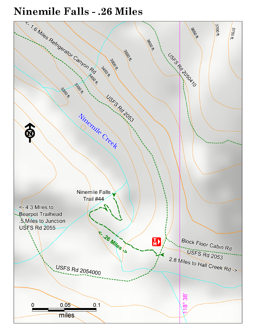# **Ninemile Falls - .26 Miles**